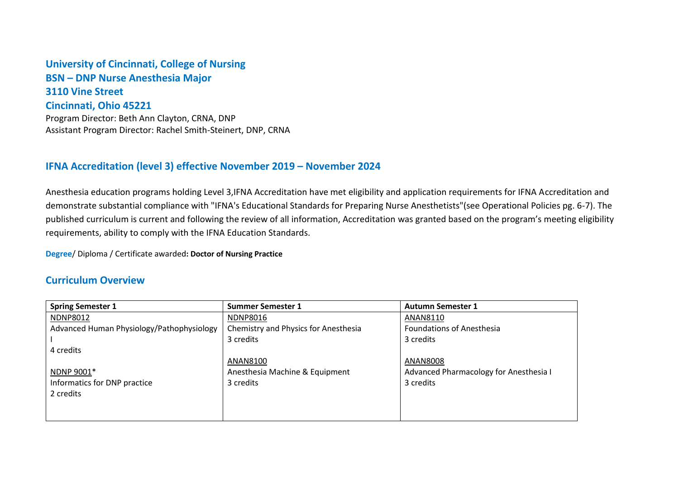## **University of Cincinnati, College of Nursing BSN – DNP Nurse Anesthesia Major 3110 Vine Street Cincinnati, Ohio 45221** Program Director: Beth Ann Clayton, CRNA, DNP

Assistant Program Director: Rachel Smith-Steinert, DNP, CRNA

## **IFNA Accreditation (level 3) effective November 2019 – November 2024**

Anesthesia education programs holding Level 3,IFNA Accreditation have met eligibility and application requirements for IFNA Accreditation and demonstrate substantial compliance with "IFNA's Educational Standards for Preparing Nurse Anesthetists"(see Operational Policies pg. 6-7). The published curriculum is current and following the review of all information, Accreditation was granted based on the program's meeting eligibility requirements, ability to comply with the IFNA Education Standards.

**Degree**/ Diploma / Certificate awarded**: Doctor of Nursing Practice** 

## **Curriculum Overview**

| <b>Spring Semester 1</b>                  | <b>Summer Semester 1</b>             | <b>Autumn Semester 1</b>               |
|-------------------------------------------|--------------------------------------|----------------------------------------|
| <b>NDNP8012</b>                           | <b>NDNP8016</b>                      | ANAN8110                               |
| Advanced Human Physiology/Pathophysiology | Chemistry and Physics for Anesthesia | <b>Foundations of Anesthesia</b>       |
|                                           | 3 credits                            | 3 credits                              |
| 4 credits                                 |                                      |                                        |
|                                           | ANAN8100                             | ANAN8008                               |
| NDNP 9001*                                | Anesthesia Machine & Equipment       | Advanced Pharmacology for Anesthesia I |
| Informatics for DNP practice              | 3 credits                            | 3 credits                              |
| 2 credits                                 |                                      |                                        |
|                                           |                                      |                                        |
|                                           |                                      |                                        |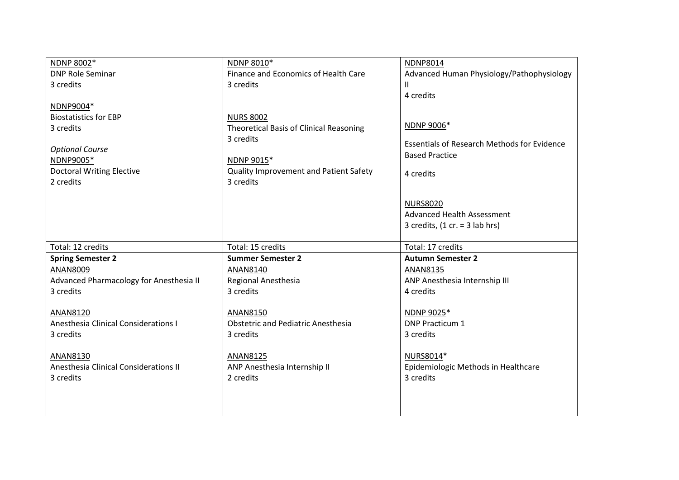| NDNP 8010*                              | <b>NDNP8014</b>                                                                                                                                                                                                                                                                                   |
|-----------------------------------------|---------------------------------------------------------------------------------------------------------------------------------------------------------------------------------------------------------------------------------------------------------------------------------------------------|
| Finance and Economics of Health Care    | Advanced Human Physiology/Pathophysiology                                                                                                                                                                                                                                                         |
| 3 credits                               | $\mathsf{I}$                                                                                                                                                                                                                                                                                      |
|                                         | 4 credits                                                                                                                                                                                                                                                                                         |
|                                         |                                                                                                                                                                                                                                                                                                   |
| <b>NURS 8002</b>                        |                                                                                                                                                                                                                                                                                                   |
| Theoretical Basis of Clinical Reasoning | NDNP 9006*                                                                                                                                                                                                                                                                                        |
| 3 credits                               | <b>Essentials of Research Methods for Evidence</b>                                                                                                                                                                                                                                                |
|                                         | <b>Based Practice</b>                                                                                                                                                                                                                                                                             |
|                                         |                                                                                                                                                                                                                                                                                                   |
|                                         | 4 credits                                                                                                                                                                                                                                                                                         |
|                                         |                                                                                                                                                                                                                                                                                                   |
|                                         |                                                                                                                                                                                                                                                                                                   |
|                                         | <b>NURS8020</b>                                                                                                                                                                                                                                                                                   |
|                                         | <b>Advanced Health Assessment</b>                                                                                                                                                                                                                                                                 |
|                                         | 3 credits, $(1 cr. = 3$ lab hrs)                                                                                                                                                                                                                                                                  |
|                                         |                                                                                                                                                                                                                                                                                                   |
|                                         | Total: 17 credits                                                                                                                                                                                                                                                                                 |
|                                         | <b>Autumn Semester 2</b>                                                                                                                                                                                                                                                                          |
|                                         | ANAN8135                                                                                                                                                                                                                                                                                          |
|                                         | ANP Anesthesia Internship III                                                                                                                                                                                                                                                                     |
|                                         | 4 credits                                                                                                                                                                                                                                                                                         |
|                                         |                                                                                                                                                                                                                                                                                                   |
|                                         | NDNP 9025*<br><b>DNP Practicum 1</b>                                                                                                                                                                                                                                                              |
|                                         | 3 credits                                                                                                                                                                                                                                                                                         |
|                                         |                                                                                                                                                                                                                                                                                                   |
|                                         | NURS8014*                                                                                                                                                                                                                                                                                         |
|                                         | Epidemiologic Methods in Healthcare                                                                                                                                                                                                                                                               |
|                                         | 3 credits                                                                                                                                                                                                                                                                                         |
|                                         |                                                                                                                                                                                                                                                                                                   |
|                                         |                                                                                                                                                                                                                                                                                                   |
|                                         |                                                                                                                                                                                                                                                                                                   |
|                                         | NDNP 9015*<br>Quality Improvement and Patient Safety<br>3 credits<br>Total: 15 credits<br><b>Summer Semester 2</b><br>ANAN8140<br>Regional Anesthesia<br>3 credits<br>ANAN8150<br><b>Obstetric and Pediatric Anesthesia</b><br>3 credits<br>ANAN8125<br>ANP Anesthesia Internship II<br>2 credits |